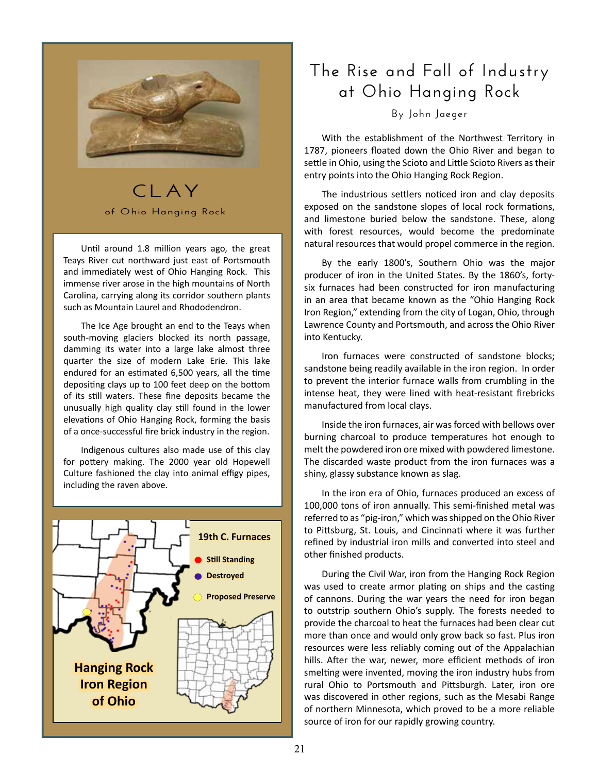

**CLAY of Ohio Hanging Rock**

Until around 1.8 million years ago, the great Teays River cut northward just east of Portsmouth and immediately west of Ohio Hanging Rock. This immense river arose in the high mountains of North Carolina, carrying along its corridor southern plants such as Mountain Laurel and Rhododendron.

The Ice Age brought an end to the Teays when south-moving glaciers blocked its north passage, damming its water into a large lake almost three quarter the size of modern Lake Erie. This lake endured for an estimated 6,500 years, all the time depositing clays up to 100 feet deep on the bottom of its still waters. These fine deposits became the unusually high quality clay still found in the lower elevations of Ohio Hanging Rock, forming the basis of a once-successful fire brick industry in the region.

Indigenous cultures also made use of this clay for pottery making. The 2000 year old Hopewell Culture fashioned the clay into animal effigy pipes, including the raven above.



## **The Rise and Fall of Industry at Ohio Hanging Rock**

**By John Jaeger**

With the establishment of the Northwest Territory in 1787, pioneers floated down the Ohio River and began to settle in Ohio, using the Scioto and Little Scioto Rivers as their entry points into the Ohio Hanging Rock Region.

The industrious settlers noticed iron and clay deposits exposed on the sandstone slopes of local rock formations, and limestone buried below the sandstone. These, along with forest resources, would become the predominate natural resources that would propel commerce in the region.

By the early 1800's, Southern Ohio was the major producer of iron in the United States. By the 1860's, fortysix furnaces had been constructed for iron manufacturing in an area that became known as the "Ohio Hanging Rock Iron Region," extending from the city of Logan, Ohio, through Lawrence County and Portsmouth, and across the Ohio River into Kentucky.

Iron furnaces were constructed of sandstone blocks; sandstone being readily available in the iron region. In order to prevent the interior furnace walls from crumbling in the intense heat, they were lined with heat-resistant firebricks manufactured from local clays.

Inside the iron furnaces, air was forced with bellows over burning charcoal to produce temperatures hot enough to melt the powdered iron ore mixed with powdered limestone. The discarded waste product from the iron furnaces was a shiny, glassy substance known as slag.

In the iron era of Ohio, furnaces produced an excess of 100,000 tons of iron annually. This semi-finished metal was referred to as "pig-iron," which was shipped on the Ohio River to Pittsburg, St. Louis, and Cincinnati where it was further refined by industrial iron mills and converted into steel and other finished products.

During the Civil War, iron from the Hanging Rock Region was used to create armor plating on ships and the casting of cannons. During the war years the need for iron began to outstrip southern Ohio's supply. The forests needed to provide the charcoal to heat the furnaces had been clear cut more than once and would only grow back so fast. Plus iron resources were less reliably coming out of the Appalachian hills. After the war, newer, more efficient methods of iron smelting were invented, moving the iron industry hubs from rural Ohio to Portsmouth and Pittsburgh. Later, iron ore was discovered in other regions, such as the Mesabi Range of northern Minnesota, which proved to be a more reliable source of iron for our rapidly growing country.